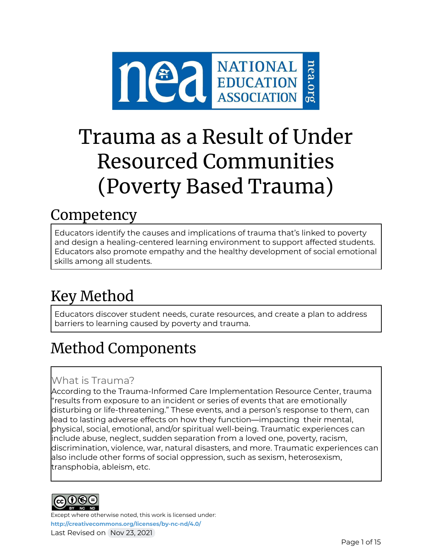

# Trauma as a Result of Under Resourced Communities (Poverty Based Trauma)

# **Competency**

Educators identify the causes and implications of trauma that's linked to poverty and design a healing-centered learning environment to support affected students. Educators also promote empathy and the healthy development of social emotional skills among all students.

# Key Method

Educators discover student needs, curate resources, and create a plan to address barriers to learning caused by poverty and trauma.

# Method Components

### What is Trauma?

According to the Trauma-Informed Care Implementation Resource Center, trauma "results from exposure to an incident or series of events that are emotionally disturbing or life-threatening." These events, and a person's response to them, can lead to lasting adverse effects on how they function—impacting their mental, physical, social, emotional, and/or spiritual well-being. Traumatic experiences can include abuse, neglect, sudden separation from a loved one, poverty, racism, discrimination, violence, war, natural disasters, and more. Traumatic experiences can also include other forms of social oppression, such as sexism, heterosexism, transphobia, ableism, etc.

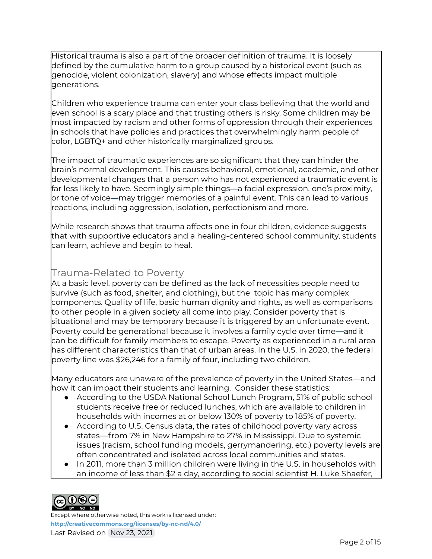Historical trauma is also a part of the broader definition of trauma. It is loosely defined by the cumulative harm to a group caused by a historical event (such as genocide, violent colonization, slavery) and whose effects impact multiple generations.

Children who experience trauma can enter your class believing that the world and even school is a scary place and that trusting others is risky. Some children may be most impacted by racism and other forms of oppression through their experiences in schools that have policies and practices that overwhelmingly harm people of color, LGBTQ+ and other historically marginalized groups.

The impact of traumatic experiences are so significant that they can hinder the brain's normal development. This causes behavioral, emotional, academic, and other developmental changes that a person who has not experienced a traumatic event is far less likely to have. Seemingly simple things—a facial expression, one's proximity, or tone of voice—may trigger memories of a painful event. This can lead to various reactions, including aggression, isolation, perfectionism and more.

While research shows that trauma affects one in four children, evidence suggests that with supportive educators and a healing-centered school community, students can learn, achieve and begin to heal.

### Trauma-Related to Poverty

At a basic level, poverty can be defined as the lack of necessities people need to survive (such as food, shelter, and clothing), but the topic has many complex components. Quality of life, basic human dignity and rights, as well as comparisons to other people in a given society all come into play. Consider poverty that is situational and may be temporary because it is triggered by an unfortunate event. Poverty could be generational because it involves a family cycle over time—and it can be difficult for family members to escape. Poverty as experienced in a rural area has different characteristics than that of urban areas. In the U.S. in 2020, the federal poverty line was \$26,246 for a family of four, including two children.

Many educators are unaware of the prevalence of poverty in the United States—and how it can impact their students and learning. Consider these statistics:

- According to the USDA National School Lunch Program, 51% of public school students receive free or reduced lunches, which are available to children in households with incomes at or below 130% of poverty to 185% of poverty.
- According to U.S. Census data, the rates of childhood poverty vary across states—from 7% in New Hampshire to 27% in Mississippi. Due to systemic issues (racism, school funding models, gerrymandering, etc.) poverty levels are often concentrated and isolated across local communities and states.
- In 2011, more than 3 million children were living in the U.S. in households with an income of less than \$2 a day, according to social scientist H. Luke Shaefer,

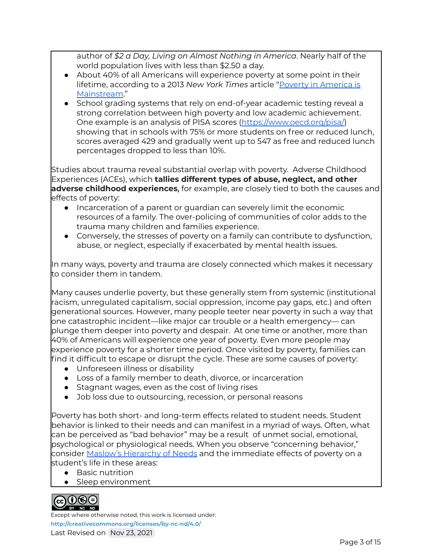author of *\$2 a Day, Living on Almost Nothing in America*. Nearly half of the world population lives with less than \$2.50 a day.

- About 40% of all Americans will experience poverty at some point in their lifetime, according to a 2013 *New York Times* article "Poverty in [America](https://opinionator.blogs.nytimes.com/2013/11/02/poverty-in-america-is-mainstream/) is [Mainstream.](https://opinionator.blogs.nytimes.com/2013/11/02/poverty-in-america-is-mainstream/)"
- School grading systems that rely on end-of-year academic testing reveal a strong correlation between high poverty and low academic achievement. One example is an analysis of PISA scores [\(https://www.oecd.org/pisa/](https://www.oecd.org/pisa/)) showing that in schools with 75% or more students on free or reduced lunch, scores averaged 429 and gradually went up to 547 as free and reduced lunch percentages dropped to less than 10%.

Studies about trauma reveal substantial overlap with poverty. Adverse Childhood Experiences (ACEs), which **tallies different types of abuse, neglect, and other adverse childhood experiences,** for example, are closely tied to both the causes and effects of poverty:

- Incarceration of a parent or guardian can severely limit the economic resources of a family. The over-policing of communities of color adds to the trauma many children and families experience.
- Conversely, the stresses of poverty on a family can contribute to dysfunction, abuse, or neglect, especially if exacerbated by mental health issues.

In many ways, poverty and trauma are closely connected which makes it necessary to consider them in tandem.

Many causes underlie poverty, but these generally stem from systemic (institutional racism, unregulated capitalism, social oppression, income pay gaps, etc.) and often generational sources. However, many people teeter near poverty in such a way that one catastrophic incident—like major car trouble or a health emergency— can plunge them deeper into poverty and despair. At one time or another, more than 40% of Americans will experience one year of poverty. Even more people may experience poverty for a shorter time period. Once visited by poverty, families can find it difficult to escape or disrupt the cycle. These are some causes of poverty:

- Unforeseen illness or disability
- Loss of a family member to death, divorce, or incarceration
- Stagnant wages, even as the cost of living rises
- Job loss due to outsourcing, recession, or personal reasons

Poverty has both short- and long-term effects related to student needs. Student behavior is linked to their needs and can manifest in a myriad of ways. Often, what can be perceived as "bad behavior" may be a result of unmet social, emotional, psychological or physiological needs. When you observe "concerning behavior," consider Maslow's [Hierarchy](https://www.simplypsychology.org/maslow.html) of Needs and the immediate effects of poverty on a student's life in these areas:

- Basic nutrition
- Sleep environment

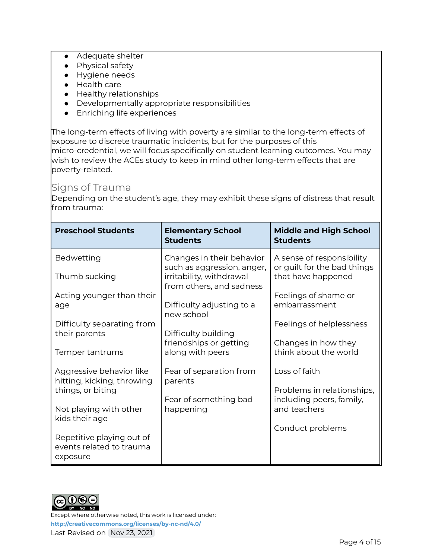- Adequate shelter
- Physical safety
- Hygiene needs
- Health care
- Healthy relationships
- Developmentally appropriate responsibilities
- Enriching life experiences

The long-term effects of living with poverty are similar to the long-term effects of exposure to discrete traumatic incidents, but for the purposes of this micro-credential, we will focus specifically on student learning outcomes. You may wish to review the ACEs study to keep in mind other long-term effects that are poverty-related.

#### Signs of Trauma

Depending on the student's age, they may exhibit these signs of distress that result from trauma:

| <b>Preschool Students</b>                                                                                                                                                                    | <b>Elementary School</b><br><b>Students</b>                                                                                                                                                                                     | <b>Middle and High School</b><br><b>Students</b>                                                                                                                                                    |
|----------------------------------------------------------------------------------------------------------------------------------------------------------------------------------------------|---------------------------------------------------------------------------------------------------------------------------------------------------------------------------------------------------------------------------------|-----------------------------------------------------------------------------------------------------------------------------------------------------------------------------------------------------|
| Bedwetting<br>Thumb sucking<br>Acting younger than their<br>age<br>Difficulty separating from<br>their parents<br>Temper tantrums                                                            | Changes in their behavior<br>such as aggression, anger,<br>irritability, withdrawal<br>from others, and sadness<br>Difficulty adjusting to a<br>new school<br>Difficulty building<br>friendships or getting<br>along with peers | A sense of responsibility<br>or guilt for the bad things<br>that have happened<br>Feelings of shame or<br>embarrassment<br>Feelings of helplessness<br>Changes in how they<br>think about the world |
| Aggressive behavior like<br>hitting, kicking, throwing<br>things, or biting<br>Not playing with other<br>kids their age<br>Repetitive playing out of<br>events related to trauma<br>exposure | Fear of separation from<br>parents<br>Fear of something bad<br>happening                                                                                                                                                        | Loss of faith<br>Problems in relationships,<br>including peers, family,<br>and teachers<br>Conduct problems                                                                                         |

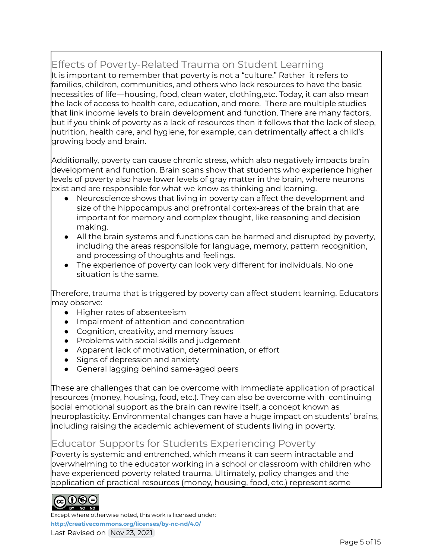# Effects of Poverty-Related Trauma on Student Learning

It is important to remember that poverty is not a "culture." Rather it refers to families, children, communities, and others who lack resources to have the basic necessities of life—housing, food, clean water, clothing,etc. Today, it can also mean the lack of access to health care, education, and more. There are multiple studies that link income levels to brain development and function. There are many factors, but if you think of poverty as a lack of resources then it follows that the lack of sleep, nutrition, health care, and hygiene, for example, can detrimentally affect a child's growing body and brain.

Additionally, poverty can cause chronic stress, which also negatively impacts brain development and function. Brain scans show that students who experience higher levels of poverty also have lower levels of gray matter in the brain, where neurons exist and are responsible for what we know as thinking and learning.

- Neuroscience shows that living in poverty can affect the development and size of the hippocampus and prefrontal cortex-areas of the brain that are important for memory and complex thought, like reasoning and decision making.
- All the brain systems and functions can be harmed and disrupted by poverty, including the areas responsible for language, memory, pattern recognition, and processing of thoughts and feelings.
- The experience of poverty can look very different for individuals. No one situation is the same.

Therefore, trauma that is triggered by poverty can affect student learning. Educators may observe:

- Higher rates of absenteeism
- Impairment of attention and concentration
- Cognition, creativity, and memory issues
- Problems with social skills and judgement
- Apparent lack of motivation, determination, or effort
- Signs of depression and anxiety
- General lagging behind same-aged peers

These are challenges that can be overcome with immediate application of practical resources (money, housing, food, etc.). They can also be overcome with continuing social emotional support as the brain can rewire itself, a concept known as neuroplasticity. Environmental changes can have a huge impact on students' brains, including raising the academic achievement of students living in poverty.

### Educator Supports for Students Experiencing Poverty

Poverty is systemic and entrenched, which means it can seem intractable and overwhelming to the educator working in a school or classroom with children who have experienced poverty related trauma. Ultimately, policy changes and the application of practical resources (money, housing, food, etc.) represent some

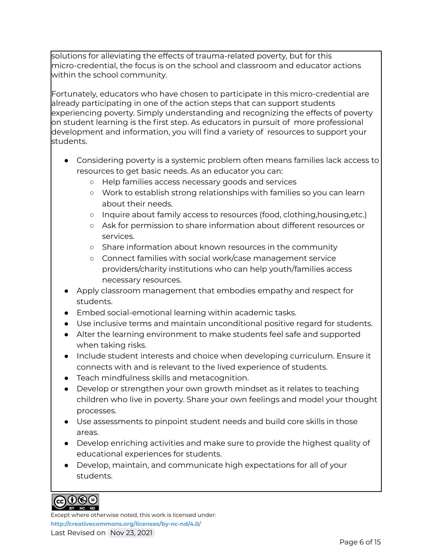solutions for alleviating the effects of trauma-related poverty, but for this micro-credential, the focus is on the school and classroom and educator actions within the school community.

Fortunately, educators who have chosen to participate in this micro-credential are already participating in one of the action steps that can support students experiencing poverty. Simply understanding and recognizing the effects of poverty on student learning is the first step. As educators in pursuit of more professional development and information, you will find a variety of resources to support your students.

- Considering poverty is a systemic problem often means families lack access to resources to get basic needs. As an educator you can:
	- Help families access necessary goods and services
	- Work to establish strong relationships with families so you can learn about their needs.
	- Inquire about family access to resources (food, clothing,housing,etc.)
	- Ask for permission to share information about different resources or services.
	- Share information about known resources in the community
	- Connect families with social work/case management service providers/charity institutions who can help youth/families access necessary resources.
- Apply classroom management that embodies empathy and respect for students.
- Embed social-emotional learning within academic tasks.
- Use inclusive terms and maintain unconditional positive regard for students.
- Alter the learning environment to make students feel safe and supported when taking risks.
- Include student interests and choice when developing curriculum. Ensure it connects with and is relevant to the lived experience of students.
- Teach mindfulness skills and metacognition.
- Develop or strengthen your own growth mindset as it relates to teaching children who live in poverty. Share your own feelings and model your thought processes.
- Use assessments to pinpoint student needs and build core skills in those areas.
- Develop enriching activities and make sure to provide the highest quality of educational experiences for students.
- Develop, maintain, and communicate high expectations for all of your students.

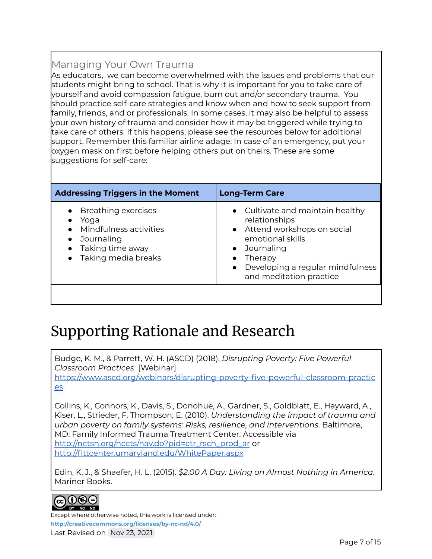# Managing Your Own Trauma

As educators, we can become overwhelmed with the issues and problems that our students might bring to school. That is why it is important for you to take care of yourself and avoid compassion fatigue, burn out and/or secondary trauma. You should practice self-care strategies and know when and how to seek support from family, friends, and or professionals. In some cases, it may also be helpful to assess your own history of trauma and consider how it may be triggered while trying to take care of others. If this happens, please see the resources below for additional support. Remember this familiar airline adage: In case of an emergency, put your oxygen mask on first before helping others put on theirs. These are some suggestions for self-care:

| <b>Breathing exercises</b><br>relationships<br>Yoga<br>• Attend workshops on social<br>Mindfulness activities<br>emotional skills<br>Journaling<br>Taking time away<br>Journaling<br>$\bullet$<br>• Taking media breaks<br>Therapy<br>$\bullet$ | <b>Addressing Triggers in the Moment</b> | <b>Long-Term Care</b>                                                  |
|-------------------------------------------------------------------------------------------------------------------------------------------------------------------------------------------------------------------------------------------------|------------------------------------------|------------------------------------------------------------------------|
| and meditation practice                                                                                                                                                                                                                         |                                          | • Cultivate and maintain healthy<br>• Developing a regular mindfulness |

# Supporting Rationale and Research

Budge, K. M., & Parrett, W. H. (ASCD) (2018). *Disrupting Poverty: Five Powerful Classroom Practices* [Webinar] [https://www.ascd.org/webinars/disrupting-poverty-five-powerful-classroom-practic](https://www.ascd.org/webinars/disrupting-poverty-five-powerful-classroom-practices) [es](https://www.ascd.org/webinars/disrupting-poverty-five-powerful-classroom-practices)

Collins, K., Connors, K., Davis, S., Donohue, A., Gardner, S., Goldblatt, E., Hayward, A., Kiser, L., Strieder, F. Thompson, E. (2010). *Understanding the impact of trauma and urban poverty on family systems: Risks, resilience, and interventions*. Baltimore, MD: Family Informed Trauma Treatment Center. Accessible via [http://nctsn.org/nccts/nav.do?pid=ctr\\_rsch\\_prod\\_ar](http://nctsn.org/nccts/nav.do?pid=ctr_rsch_prod_ar) or <http://fittcenter.umaryland.edu/WhitePaper.aspx>

Edin, K. J., & Shaefer, H. L. (2015). *\$2.00 A Day: Living on Almost Nothing in America*. Mariner Books.

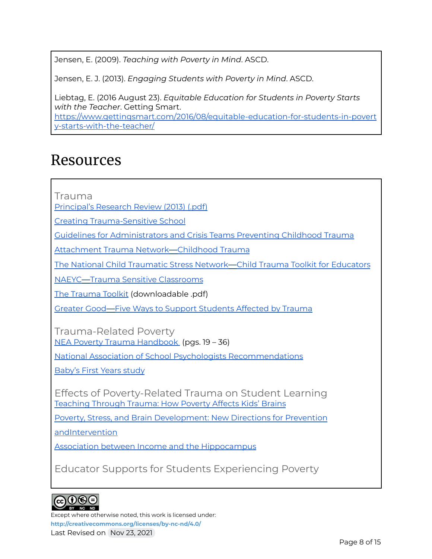Jensen, E. (2009). *Teaching with Poverty in Mind*. ASCD.

Jensen, E. J. (2013). *Engaging Students with Poverty in Mind*. ASCD.

Liebtag, E. (2016 August 23). *Equitable Education for Students in Poverty Starts with the Teacher*. Getting Smart. [https://www.gettingsmart.com/2016/08/equitable-education-for-students-in-povert](https://www.gettingsmart.com/2016/08/equitable-education-for-students-in-poverty-starts-with-the-teacher/) [y-starts-with-the-teacher/](https://www.gettingsmart.com/2016/08/equitable-education-for-students-in-poverty-starts-with-the-teacher/)

# Resources

Trauma

[Principal's](https://drive.google.com/file/d/1J2q4Adw5oOptrWbeCCwLMs_1SJMo8pVb/view?usp=sharing) Research Review (2013) (.pdf)

Creating [Trauma-Sensitive](https://drive.google.com/file/d/14vB3m5k8cxzvM-W2E53sMI7_AXRpxAgQ/view?usp=sharing) School

Guidelines for [Administrators](https://www.nasponline.org/resources-and-publications/resources-and-podcasts/school-climate-safety-and-crisis/mental-health-resources/trauma/preventing-childhood-trauma-guidelines-for-administrators-and-crisis-teams) and Crisis Teams Preventing Childhood Trauma

[Attachment](https://www.attachmenttraumanetwork.org/wp-content/uploads/TSS-infographic-updated-8-2016-web.pdf) Trauma Network—Childhood Trauma

The National Child [Traumatic](https://traumaawareschools.org/resources-materials/3162/Child_Trauma_Toolkit_Final.pdf?1385464214) Stress Network—Child Trauma Toolkit for Educators

NAEYC—Trauma Sensitive [Classrooms](https://www.naeyc.org/resources/pubs/yc/may2015/trauma-sensitive-classrooms)

The [Trauma](http://bit.ly/TraumaToolkit) Toolkit (downloadable .pdf)

Greater Good—Five Ways to Support [Students](https://greatergood.berkeley.edu/article/item/five_ways_to_support_students_affected_by_trauma) Affected by Trauma

Trauma-Related Poverty NEA Poverty Trauma [Handbook](https://www.nea.org/sites/default/files/2020-07/NEAPovertyTraumaHandbook.pdf) (pgs. 19 – 36)

National Association of School Psychologists [Recommendations](https://www.nasponline.org/resources-and-publications/resources-and-podcasts/school-climate-safety-and-crisis/mental-health-resources/trauma/supporting-students-experiencing-childhood-trauma-tips-for-parents-and-educators)

[Baby's](https://www.babysfirstyears.com/) First Years study

Effects of Poverty-Related Trauma on Student Learning [Teaching](https://www.scpr.org/blogs/education/2014/06/02/16743/poverty-has-been-found-to-affect-kids-brains-can-o/) Through Trauma: How Poverty Affects Kids' Brains

Poverty, Stress, and Brain [Development:](https://www.ncbi.nlm.nih.gov/pmc/articles/PMC5765853/) New Directions for Prevention

[andIntervention](https://www.ncbi.nlm.nih.gov/pmc/articles/PMC5765853/)

Association between Income and the [Hippocampus](https://www.ncbi.nlm.nih.gov/pmc/articles/PMC3087752/)

Educator Supports for Students Experiencing Poverty

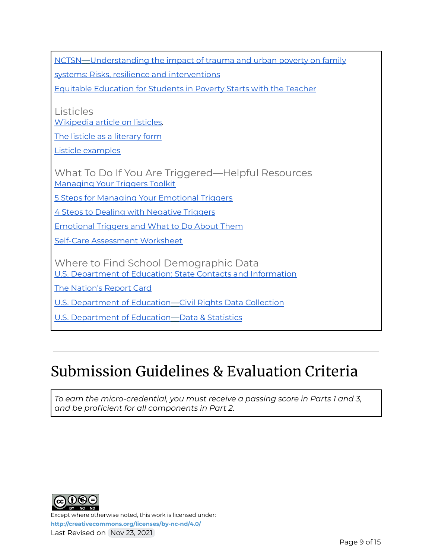NCTSN—[Understanding](https://www.nctsn.org/sites/default/files/resources/resource-guide/understanding_impact_trauma_urban_poverty_family_systems.pdf) the impact of trauma and urban poverty on family

systems: Risks, resilience and [interventions](https://www.nctsn.org/sites/default/files/resources/resource-guide/understanding_impact_trauma_urban_poverty_family_systems.pdf)

Equitable [Education](https://www.gettingsmart.com/2016/08/equitable-education-for-students-in-poverty-starts-with-the-teacher/) for Students in Poverty Starts with the Teacher

Listicles [Wikipedia](https://en.wikipedia.org/wiki/Listicle) article on listicles.

The listicle as a [literary](https://mag.uchicago.edu/arts-humanities/listicle-literary-form#) form

Listicle [examples](https://www.buzzfeed.com/tag/lists)

What To Do If You Are Triggered—Helpful Resources [Managing](https://mediatorsbeyondborders.org/wp-content/uploads/2020/01/managing-your-triggers-toolkit.pdf) Your Triggers Toolkit

5 Steps for Managing Your [Emotional](https://www.psychologytoday.com/us/blog/wander-woman/201507/5-steps-managing-your-emotional-triggers) Triggers

4 Steps to Dealing with [Negative](https://bigvoicesrise.com/triggers/) Triggers

[Emotional](https://sourcesofinsight.com/emotional-triggers-and-what-to-do-about-them/) Triggers and What to Do About Them

Self-Care [Assessment](https://www.mentoring.org/wp-content/uploads/2020/03/MARCH_2015_Self_Care_Assessment.pdf) Worksheet

Where to Find School Demographic Data U.S. [Department](https://www2.ed.gov/about/contacts/state/index.html) of Education: State Contacts and Information

The [Nation's](https://www.nationsreportcard.gov/) Report Card

U.S. [Department](https://ocrdata.ed.gov/) of Education—Civil Rights Data Collection

U.S. [Department](https://www2.ed.gov/rschstat/landing.jhtml?src=pn) of Education—Data & Statistics

# Submission Guidelines & Evaluation Criteria

*To earn the micro-credential, you must receive a passing score in Parts 1 and 3, and be proficient for all components in Part 2.*

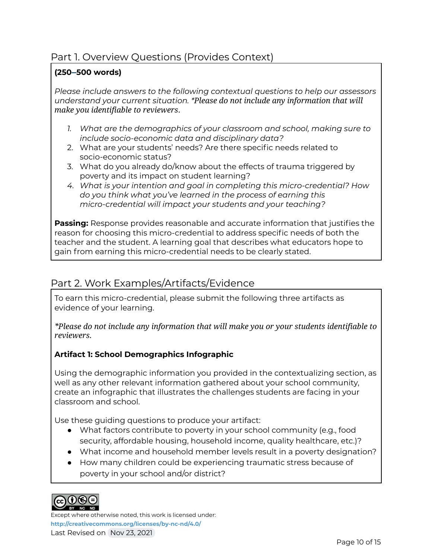### Part 1. Overview Questions (Provides Context)

#### **(250–500 words)**

*Please include answers to the following contextual questions to help our assessors understand your current situation. \*Please do not include any information that will make you identifiable to reviewers*.

- *1. What are the demographics of your classroom and school, making sure to include socio-economic data and disciplinary data?*
- 2. What are your students' needs? Are there specific needs related to socio-economic status?
- 3. What do you already do/know about the effects of trauma triggered by poverty and its impact on student learning?
- *4. What is your intention and goal in completing this micro-credential? How do you think what you've learned in the process of earning this micro-credential will impact your students and your teaching?*

**Passing:** Response provides reasonable and accurate information that justifies the reason for choosing this micro-credential to address specific needs of both the teacher and the student. A learning goal that describes what educators hope to gain from earning this micro-credential needs to be clearly stated.

### Part 2. Work Examples/Artifacts/Evidence

To earn this micro-credential, please submit the following three artifacts as evidence of your learning.

*\*Please do not include any information that will make you or your students identifiable to reviewers.*

#### **Artifact 1: School Demographics Infographic**

Using the demographic information you provided in the contextualizing section, as well as any other relevant information gathered about your school community, create an infographic that illustrates the challenges students are facing in your classroom and school.

Use these guiding questions to produce your artifact:

- What factors contribute to poverty in your school community (e.g., food security, affordable housing, household income, quality healthcare, etc.)?
- What income and household member levels result in a poverty designation?
- How many children could be experiencing traumatic stress because of poverty in your school and/or district?

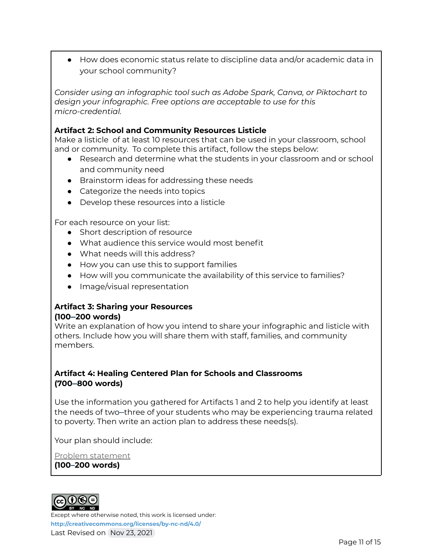● How does economic status relate to discipline data and/or academic data in your school community?

*Consider using an infographic tool such as Adobe Spark, Canva, or Piktochart to design your infographic. Free options are acceptable to use for this micro-credential.*

#### **Artifact 2: School and Community Resources Listicle**

Make a listicle of at least 10 resources that can be used in your classroom, school and or community. To complete this artifact, follow the steps below:

- Research and determine what the students in your classroom and or school and community need
- Brainstorm ideas for addressing these needs
- Categorize the needs into topics
- Develop these resources into a listicle

For each resource on your list:

- Short description of resource
- What audience this service would most benefit
- What needs will this address?
- How you can use this to support families
- How will you communicate the availability of this service to families?
- Image/visual representation

#### **Artifact 3: Sharing your Resources (100–200 words)**

Write an explanation of how you intend to share your infographic and listicle with others. Include how you will share them with staff, families, and community members.

#### **Artifact 4: Healing Centered Plan for Schools and Classrooms (700–800 words)**

Use the information you gathered for Artifacts 1 and 2 to help you identify at least the needs of two–three of your students who may be experiencing trauma related to poverty. Then write an action plan to address these needs(s).

Your plan should include:

Problem statement

#### **(100–200 words)**

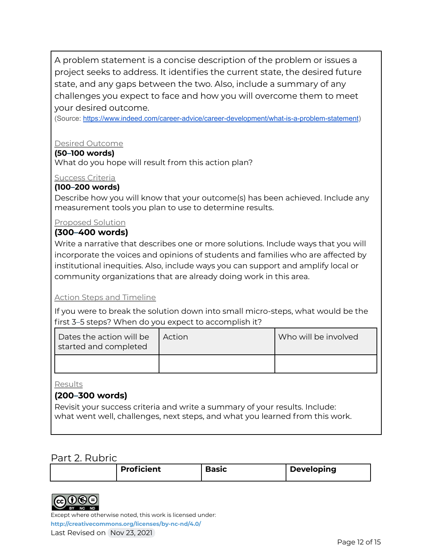A problem statement is a concise description of the problem or issues a project seeks to address. It identifies the current state, the desired future state, and any gaps between the two. Also, include a summary of any challenges you expect to face and how you will overcome them to meet your desired outcome.

(Source: <https://www.indeed.com/career-advice/career-development/what-is-a-problem-statement>)

#### Desired Outcome

#### **(50–100 words)**

What do you hope will result from this action plan?

#### Success Criteria

#### **(100–200 words)**

Describe how you will know that your outcome(s) has been achieved. Include any measurement tools you plan to use to determine results.

#### Proposed Solution

#### **(300–400 words)**

Write a narrative that describes one or more solutions. Include ways that you will incorporate the voices and opinions of students and families who are affected by institutional inequities. Also, include ways you can support and amplify local or community organizations that are already doing work in this area.

#### Action Steps and Timeline

If you were to break the solution down into small micro-steps, what would be the first 3–5 steps? When do you expect to accomplish it?

| Dates the action will be<br>started and completed | l Action | Who will be involved |
|---------------------------------------------------|----------|----------------------|
|                                                   |          |                      |

Results

#### **(200–300 words)**

Revisit your success criteria and write a summary of your results. Include: what went well, challenges, next steps, and what you learned from this work.

#### Part 2. Rubric

| <b>Proficient</b> | <b>Basic</b> | Developing |
|-------------------|--------------|------------|
|-------------------|--------------|------------|



Except where otherwise noted, this work is licensed under: **<http://creativecommons.org/licenses/by-nc-nd/4.0/>**

Last Revised on Nov 23, 2021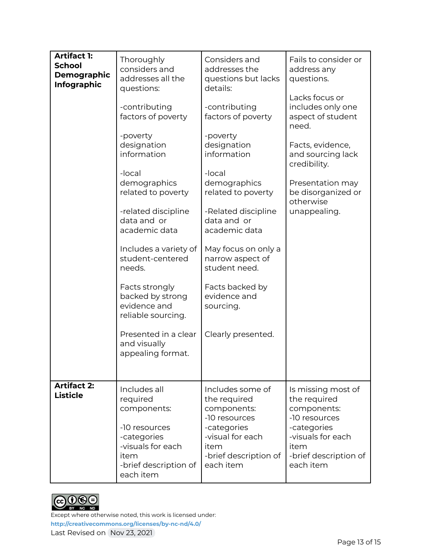| <b>Artifact 1:</b><br><b>School</b><br><b>Demographic</b><br><b>Infographic</b> | Thoroughly<br>considers and<br>addresses all the<br>questions:<br>-contributing<br>factors of poverty<br>-poverty<br>designation<br>information<br>-local<br>demographics<br>related to poverty<br>-related discipline<br>data and or<br>academic data<br>Includes a variety of<br>student-centered<br>needs.<br>Facts strongly<br>backed by strong<br>evidence and<br>reliable sourcing.<br>Presented in a clear<br>and visually<br>appealing format. | Considers and<br>addresses the<br>questions but lacks<br>details:<br>-contributing<br>factors of poverty<br>-poverty<br>designation<br>information<br>-local<br>demographics<br>related to poverty<br>-Related discipline<br>data and or<br>academic data<br>May focus on only a<br>narrow aspect of<br>student need.<br>Facts backed by<br>evidence and<br>sourcing.<br>Clearly presented. | Fails to consider or<br>address any<br>questions.<br>Lacks focus or<br>includes only one<br>aspect of student<br>need.<br>Facts, evidence,<br>and sourcing lack<br>credibility.<br>Presentation may<br>be disorganized or<br>otherwise<br>unappealing. |
|---------------------------------------------------------------------------------|--------------------------------------------------------------------------------------------------------------------------------------------------------------------------------------------------------------------------------------------------------------------------------------------------------------------------------------------------------------------------------------------------------------------------------------------------------|---------------------------------------------------------------------------------------------------------------------------------------------------------------------------------------------------------------------------------------------------------------------------------------------------------------------------------------------------------------------------------------------|--------------------------------------------------------------------------------------------------------------------------------------------------------------------------------------------------------------------------------------------------------|
| <b>Artifact 2:</b><br><b>Listicle</b>                                           | Includes all<br>required<br>components:<br>-10 resources<br>-categories<br>-visuals for each<br>item<br>-brief description of<br>each item                                                                                                                                                                                                                                                                                                             | Includes some of<br>the required<br>components:<br>-10 resources<br>-categories<br>-visual for each<br>item<br>-brief description of<br>each item                                                                                                                                                                                                                                           | Is missing most of<br>the required<br>components:<br>-10 resources<br>-categories<br>-visuals for each<br>item<br>-brief description of<br>each item                                                                                                   |

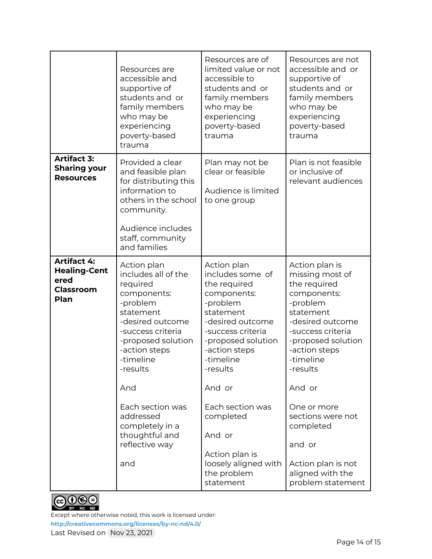|                                                                               | Resources are<br>accessible and<br>supportive of<br>students and or<br>family members<br>who may be<br>experiencing<br>poverty-based<br>trauma                                                                                                                                                        | Resources are of<br>limited value or not<br>accessible to<br>students and or<br>family members<br>who may be<br>experiencing<br>poverty-based<br>trauma                                                                                                                                                                     | Resources are not<br>accessible and or<br>supportive of<br>students and or<br>family members<br>who may be<br>experiencing<br>poverty-based<br>trauma                                                                                                                                                                                  |
|-------------------------------------------------------------------------------|-------------------------------------------------------------------------------------------------------------------------------------------------------------------------------------------------------------------------------------------------------------------------------------------------------|-----------------------------------------------------------------------------------------------------------------------------------------------------------------------------------------------------------------------------------------------------------------------------------------------------------------------------|----------------------------------------------------------------------------------------------------------------------------------------------------------------------------------------------------------------------------------------------------------------------------------------------------------------------------------------|
| <b>Artifact 3:</b><br><b>Sharing your</b><br><b>Resources</b>                 | Provided a clear<br>and feasible plan<br>for distributing this<br>information to<br>others in the school<br>community.<br>Audience includes<br>staff, community<br>and families                                                                                                                       | Plan may not be<br>clear or feasible<br>Audience is limited<br>to one group                                                                                                                                                                                                                                                 | Plan is not feasible<br>or inclusive of<br>relevant audiences                                                                                                                                                                                                                                                                          |
| <b>Artifact 4:</b><br><b>Healing-Cent</b><br>ered<br><b>Classroom</b><br>Plan | Action plan<br>includes all of the<br>required<br>components:<br>-problem<br>statement<br>-desired outcome<br>-success criteria<br>-proposed solution<br>-action steps<br>-timeline<br>-results<br>And<br>Each section was<br>addressed<br>completely in a<br>thoughtful and<br>reflective way<br>and | Action plan<br>includes some of<br>the required<br>components:<br>-problem<br>statement<br>-desired outcome<br>-success criteria<br>-proposed solution<br>-action steps<br>-timeline<br>-results<br>And or<br>Each section was<br>completed<br>And or<br>Action plan is<br>loosely aligned with<br>the problem<br>statement | Action plan is<br>missing most of<br>the required<br>components:<br>-problem<br>statement<br>-desired outcome<br>-success criteria<br>-proposed solution<br>-action steps<br>-timeline<br>-results<br>And or<br>One or more<br>sections were not<br>completed<br>and or<br>Action plan is not<br>aligned with the<br>problem statement |

 $CO$